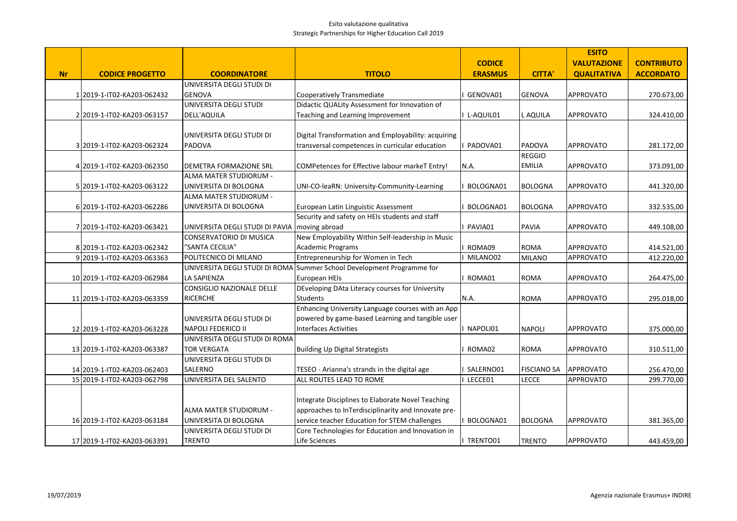|           |                             |                                                 |                                                                        |                |                    | <b>ESITO</b>       |                   |
|-----------|-----------------------------|-------------------------------------------------|------------------------------------------------------------------------|----------------|--------------------|--------------------|-------------------|
|           |                             |                                                 |                                                                        | <b>CODICE</b>  |                    | <b>VALUTAZIONE</b> | <b>CONTRIBUTO</b> |
| <b>Nr</b> | <b>CODICE PROGETTO</b>      | <b>COORDINATORE</b>                             | <b>TITOLO</b>                                                          | <b>ERASMUS</b> | <b>CITTA'</b>      | <b>QUALITATIVA</b> | <b>ACCORDATO</b>  |
|           |                             | UNIVERSITA DEGLI STUDI DI                       |                                                                        |                |                    |                    |                   |
|           | 1 2019-1-IT02-KA203-062432  | <b>GENOVA</b>                                   | Cooperatively Transmediate                                             | GENOVA01       | GENOVA             | APPROVATO          | 270.673,00        |
|           |                             | UNIVERSITA DEGLI STUDI                          | Didactic QUALity Assessment for Innovation of                          |                |                    |                    |                   |
|           | 2 2019-1-IT02-KA203-063157  | DELL'AQUILA                                     | Teaching and Learning Improvement                                      | L-AQUIL01      | L AQUILA           | <b>APPROVATO</b>   | 324.410,00        |
|           |                             |                                                 |                                                                        |                |                    |                    |                   |
|           |                             | UNIVERSITA DEGLI STUDI DI                       | Digital Transformation and Employability: acquiring                    |                |                    |                    |                   |
|           | 3 2019-1-IT02-KA203-062324  | <b>PADOVA</b>                                   | transversal competences in curricular education                        | PADOVA01       | PADOVA             | <b>APPROVATO</b>   | 281.172,00        |
|           |                             |                                                 |                                                                        |                | <b>REGGIO</b>      |                    |                   |
|           | 4 2019-1-IT02-KA203-062350  | DEMETRA FORMAZIONE SRL                          | COMPetences for Effective labour markeT Entry!                         | N.A.           | <b>EMILIA</b>      | <b>APPROVATO</b>   | 373.091,00        |
|           |                             | ALMA MATER STUDIORUM -                          |                                                                        |                |                    |                    |                   |
|           | 5 2019-1-IT02-KA203-063122  | UNIVERSITA DI BOLOGNA                           | UNI-CO-leaRN: University-Community-Learning                            | BOLOGNA01      | <b>BOLOGNA</b>     | APPROVATO          | 441.320,00        |
|           |                             | ALMA MATER STUDIORUM -                          |                                                                        |                |                    |                    |                   |
|           | 6 2019-1-IT02-KA203-062286  | UNIVERSITA DI BOLOGNA                           | European Latin Linguistic Assessment                                   | BOLOGNA01      | <b>BOLOGNA</b>     | <b>APPROVATO</b>   | 332.535,00        |
|           |                             |                                                 | Security and safety on HEIs students and staff                         |                |                    |                    |                   |
|           | 7 2019-1-IT02-KA203-063421  | UNIVERSITA DEGLI STUDI DI PAVIA   moving abroad |                                                                        | PAVIA01        | <b>PAVIA</b>       | <b>APPROVATO</b>   | 449.108,00        |
|           |                             | CONSERVATORIO DI MUSICA                         | New Employability Within Self-leadership in Music                      |                |                    |                    |                   |
|           | 8 2019-1-IT02-KA203-062342  | "SANTA CECILIA"                                 | Academic Programs                                                      | ROMA09         | <b>ROMA</b>        | <b>APPROVATO</b>   | 414.521,00        |
|           | 9 2019-1-IT02-KA203-063363  | POLITECNICO DI MILANO                           | Entrepreneurship for Women in Tech                                     | MILANO02       | <b>MILANO</b>      | <b>APPROVATO</b>   | 412.220,00        |
|           |                             |                                                 | UNIVERSITA DEGLI STUDI DI ROMA Summer School Development Programme for |                |                    |                    |                   |
|           | 10 2019-1-IT02-KA203-062984 | <b>LA SAPIENZA</b>                              | European HEIs                                                          | ROMA01         | <b>ROMA</b>        | <b>APPROVATO</b>   | 264.475,00        |
|           |                             | <b>CONSIGLIO NAZIONALE DELLE</b>                | DEveloping DAta Literacy courses for University                        |                |                    |                    |                   |
|           | 11 2019-1-IT02-KA203-063359 | <b>RICERCHE</b>                                 | <b>Students</b>                                                        | N.A.           | <b>ROMA</b>        | <b>APPROVATO</b>   | 295.018,00        |
|           |                             |                                                 | Enhancing University Language courses with an App                      |                |                    |                    |                   |
|           |                             | UNIVERSITA DEGLI STUDI DI                       | powered by game-based Learning and tangible user                       |                |                    |                    |                   |
|           | 12 2019-1-IT02-KA203-063228 | <b>NAPOLI FEDERICO II</b>                       | <b>Interfaces Activities</b>                                           | NAPOLI01       | <b>NAPOLI</b>      | <b>APPROVATO</b>   | 375.000,00        |
|           |                             | UNIVERSITA DEGLI STUDI DI ROMA                  |                                                                        |                |                    |                    |                   |
|           | 13 2019-1-IT02-KA203-063387 | <b>TOR VERGATA</b>                              | <b>Building Up Digital Strategists</b>                                 | ROMA02         | <b>ROMA</b>        | <b>APPROVATO</b>   | 310.511,00        |
|           |                             | UNIVERSITA DEGLI STUDI DI                       |                                                                        |                |                    |                    |                   |
|           | 14 2019-1-IT02-KA203-062403 | SALERNO                                         | TESEO - Arianna's strands in the digital age                           | SALERNO01      | <b>FISCIANO SA</b> | <b>APPROVATO</b>   | 256.470,00        |
|           | 15 2019-1-IT02-KA203-062798 | UNIVERSITA DEL SALENTO                          | ALL ROUTES LEAD TO ROME                                                | LECCE01        | <b>LECCE</b>       | APPROVATO          | 299.770,00        |
|           |                             |                                                 |                                                                        |                |                    |                    |                   |
|           |                             |                                                 | Integrate Disciplines to Elaborate Novel Teaching                      |                |                    |                    |                   |
|           |                             | ALMA MATER STUDIORUM -                          | approaches to InTerdisciplinarity and Innovate pre-                    |                |                    |                    |                   |
|           | 16 2019-1-IT02-KA203-063184 | UNIVERSITA DI BOLOGNA                           | service teacher Education for STEM challenges                          | BOLOGNA01      | <b>BOLOGNA</b>     | <b>APPROVATO</b>   | 381.365,00        |
|           |                             | UNIVERSITA DEGLI STUDI DI                       | Core Technologies for Education and Innovation in                      |                |                    |                    |                   |
|           | 17 2019-1-IT02-KA203-063391 | TRENTO                                          | <b>Life Sciences</b>                                                   | TRENTO01       | <b>TRENTO</b>      | <b>APPROVATO</b>   | 443.459,00        |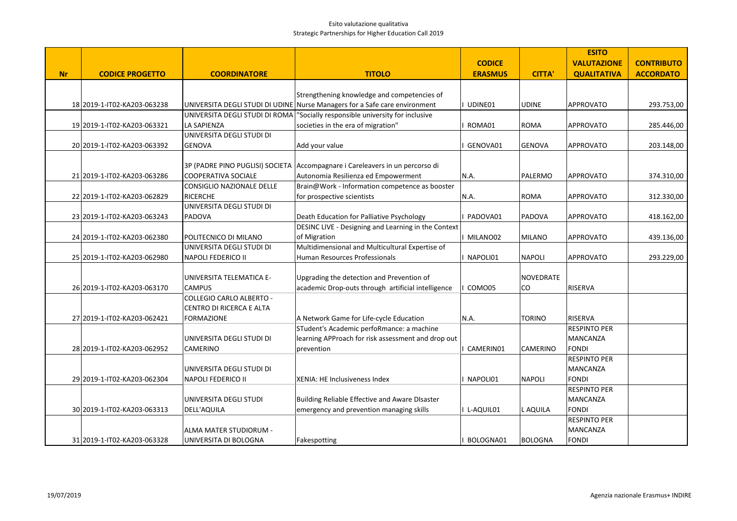|           |                             |                                 |                                                                            |                |                  | <b>ESITO</b>                           |                   |
|-----------|-----------------------------|---------------------------------|----------------------------------------------------------------------------|----------------|------------------|----------------------------------------|-------------------|
|           |                             |                                 |                                                                            | <b>CODICE</b>  |                  | <b>VALUTAZIONE</b>                     | <b>CONTRIBUTO</b> |
| <b>Nr</b> | <b>CODICE PROGETTO</b>      | <b>COORDINATORE</b>             | <b>TITOLO</b>                                                              | <b>ERASMUS</b> | <b>CITTA'</b>    | <b>QUALITATIVA</b>                     | <b>ACCORDATO</b>  |
|           |                             |                                 |                                                                            |                |                  |                                        |                   |
|           |                             |                                 | Strengthening knowledge and competencies of                                |                |                  |                                        |                   |
|           | 18 2019-1-IT02-KA203-063238 |                                 | UNIVERSITA DEGLI STUDI DI UDINE Nurse Managers for a Safe care environment | UDINE01        | <b>UDINE</b>     | <b>APPROVATO</b>                       | 293.753,00        |
|           |                             | UNIVERSITA DEGLI STUDI DI ROMA  | "Socially responsible university for inclusive                             |                |                  |                                        |                   |
|           | 19 2019-1-IT02-KA203-063321 | <b>LA SAPIENZA</b>              | societies in the era of migration"                                         | ROMA01         | <b>ROMA</b>      | APPROVATO                              | 285.446,00        |
|           |                             | UNIVERSITA DEGLI STUDI DI       |                                                                            |                |                  |                                        |                   |
|           | 20 2019-1-IT02-KA203-063392 | <b>GENOVA</b>                   | Add your value                                                             | GENOVA01       | <b>GENOVA</b>    | <b>APPROVATO</b>                       | 203.148,00        |
|           |                             |                                 |                                                                            |                |                  |                                        |                   |
|           |                             | 3P (PADRE PINO PUGLISI) SOCIETA | Accompagnare i Careleavers in un percorso di                               |                |                  |                                        |                   |
|           | 21 2019-1-IT02-KA203-063286 | COOPERATIVA SOCIALE             | Autonomia Resilienza ed Empowerment                                        | N.A.           | PALERMO          | <b>APPROVATO</b>                       | 374.310,00        |
|           |                             | CONSIGLIO NAZIONALE DELLE       | Brain@Work - Information competence as booster                             |                |                  |                                        |                   |
|           | 22 2019-1-IT02-KA203-062829 | RICERCHE                        | for prospective scientists                                                 | N.A.           | <b>ROMA</b>      | APPROVATO                              | 312.330,00        |
|           |                             | UNIVERSITA DEGLI STUDI DI       |                                                                            |                |                  |                                        |                   |
|           | 23 2019-1-IT02-KA203-063243 | PADOVA                          | Death Education for Palliative Psychology                                  | PADOVA01       | PADOVA           | APPROVATO                              | 418.162,00        |
|           |                             |                                 | DESINC LIVE - Designing and Learning in the Context                        |                |                  |                                        |                   |
|           | 24 2019-1-IT02-KA203-062380 | POLITECNICO DI MILANO           | of Migration                                                               | MILANO02       | <b>MILANO</b>    | <b>APPROVATO</b>                       | 439.136,00        |
|           |                             | UNIVERSITA DEGLI STUDI DI       | Multidimensional and Multicultural Expertise of                            |                |                  |                                        |                   |
|           | 25 2019-1-IT02-KA203-062980 | NAPOLI FEDERICO II              | Human Resources Professionals                                              | NAPOLI01       | <b>NAPOLI</b>    | <b>APPROVATO</b>                       | 293.229,00        |
|           |                             |                                 |                                                                            |                |                  |                                        |                   |
|           |                             | UNIVERSITA TELEMATICA E-        | Upgrading the detection and Prevention of                                  |                | <b>NOVEDRATE</b> |                                        |                   |
|           | 26 2019-1-IT02-KA203-063170 | <b>CAMPUS</b>                   | academic Drop-outs through artificial intelligence                         | COMO05         | CO               | RISERVA                                |                   |
|           |                             | <b>COLLEGIO CARLO ALBERTO -</b> |                                                                            |                |                  |                                        |                   |
|           |                             | CENTRO DI RICERCA E ALTA        |                                                                            |                |                  |                                        |                   |
|           | 27 2019-1-IT02-KA203-062421 | <b>FORMAZIONE</b>               | A Network Game for Life-cycle Education                                    | N.A.           | TORINO           | <b>RISERVA</b>                         |                   |
|           |                             |                                 | STudent's Academic perfoRmance: a machine                                  |                |                  | <b>RESPINTO PER</b>                    |                   |
|           |                             | UNIVERSITA DEGLI STUDI DI       | learning APProach for risk assessment and drop out                         |                |                  | MANCANZA                               |                   |
|           | 28 2019-1-IT02-KA203-062952 | <b>CAMERINO</b>                 | prevention                                                                 | CAMERIN01      | <b>CAMERINO</b>  | <b>FONDI</b>                           |                   |
|           |                             |                                 |                                                                            |                |                  | <b>RESPINTO PER</b>                    |                   |
|           |                             | UNIVERSITA DEGLI STUDI DI       |                                                                            |                |                  | <b>MANCANZA</b>                        |                   |
|           | 29 2019-1-IT02-KA203-062304 | NAPOLI FEDERICO II              | XENIA: HE Inclusiveness Index                                              | I NAPOLI01     | <b>NAPOLI</b>    | <b>FONDI</b>                           |                   |
|           |                             |                                 |                                                                            |                |                  | <b>RESPINTO PER</b><br><b>MANCANZA</b> |                   |
|           | 30 2019-1-IT02-KA203-063313 | UNIVERSITA DEGLI STUDI          | Building Reliable Effective and Aware DIsaster                             |                |                  | <b>FONDI</b>                           |                   |
|           |                             | DELL'AQUILA                     | emergency and prevention managing skills                                   | I L-AQUIL01    | L AQUILA         | <b>RESPINTO PER</b>                    |                   |
|           |                             | ALMA MATER STUDIORUM -          |                                                                            |                |                  | <b>MANCANZA</b>                        |                   |
|           |                             | UNIVERSITA DI BOLOGNA           |                                                                            | BOLOGNA01      | BOLOGNA          | <b>FONDI</b>                           |                   |
|           | 31 2019-1-IT02-KA203-063328 |                                 | Fakespotting                                                               |                |                  |                                        |                   |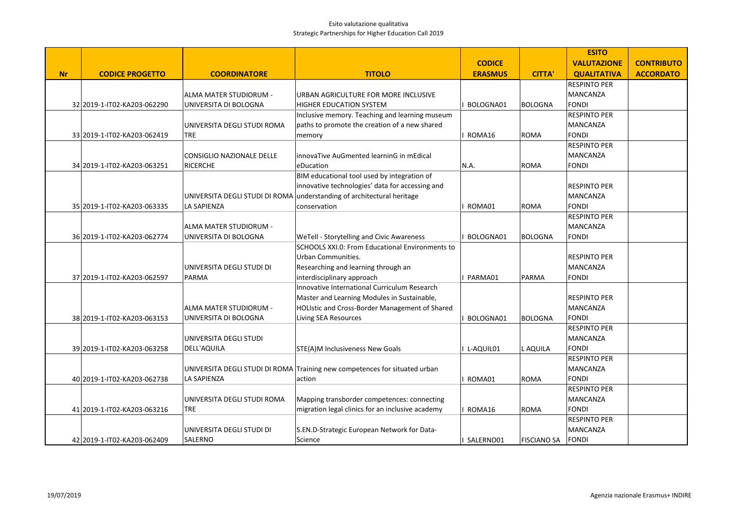|           |                             |                                |                                                                            |                |                    | <b>ESITO</b>        |                   |
|-----------|-----------------------------|--------------------------------|----------------------------------------------------------------------------|----------------|--------------------|---------------------|-------------------|
|           |                             |                                |                                                                            | <b>CODICE</b>  |                    | <b>VALUTAZIONE</b>  | <b>CONTRIBUTO</b> |
| <b>Nr</b> | <b>CODICE PROGETTO</b>      | <b>COORDINATORE</b>            | <b>TITOLO</b>                                                              | <b>ERASMUS</b> | <b>CITTA'</b>      | <b>QUALITATIVA</b>  | <b>ACCORDATO</b>  |
|           |                             |                                |                                                                            |                |                    | <b>RESPINTO PER</b> |                   |
|           |                             | ALMA MATER STUDIORUM -         | URBAN AGRICULTURE FOR MORE INCLUSIVE                                       |                |                    | <b>MANCANZA</b>     |                   |
|           | 32 2019-1-IT02-KA203-062290 | UNIVERSITA DI BOLOGNA          | HIGHER EDUCATION SYSTEM                                                    | BOLOGNA01      | BOLOGNA            | <b>FONDI</b>        |                   |
|           |                             |                                | Inclusive memory. Teaching and learning museum                             |                |                    | <b>RESPINTO PER</b> |                   |
|           |                             | UNIVERSITA DEGLI STUDI ROMA    | paths to promote the creation of a new shared                              |                |                    | <b>MANCANZA</b>     |                   |
|           | 33 2019-1-IT02-KA203-062419 | <b>TRE</b>                     | memory                                                                     | ROMA16         | <b>ROMA</b>        | <b>FONDI</b>        |                   |
|           |                             |                                |                                                                            |                |                    | <b>RESPINTO PER</b> |                   |
|           |                             | CONSIGLIO NAZIONALE DELLE      | innovaTive AuGmented learninG in mEdical                                   |                |                    | <b>MANCANZA</b>     |                   |
|           | 34 2019-1-IT02-KA203-063251 | <b>RICERCHE</b>                | eDucation                                                                  | N.A.           | ROMA               | <b>FONDI</b>        |                   |
|           |                             |                                | BIM educational tool used by integration of                                |                |                    |                     |                   |
|           |                             |                                | innovative technologies' data for accessing and                            |                |                    | <b>RESPINTO PER</b> |                   |
|           |                             | UNIVERSITA DEGLI STUDI DI ROMA | understanding of architectural heritage                                    |                |                    | MANCANZA            |                   |
|           | 35 2019-1-IT02-KA203-063335 | LA SAPIENZA                    | conservation                                                               | ROMA01         | ROMA               | <b>FONDI</b>        |                   |
|           |                             |                                |                                                                            |                |                    | <b>RESPINTO PER</b> |                   |
|           |                             | ALMA MATER STUDIORUM -         |                                                                            |                |                    | MANCANZA            |                   |
|           | 36 2019-1-IT02-KA203-062774 | UNIVERSITA DI BOLOGNA          | WeTell - Storytelling and Civic Awareness                                  | BOLOGNA01      | BOLOGNA            | <b>FONDI</b>        |                   |
|           |                             |                                | SCHOOLS XXI.0: From Educational Environments to<br>Urban Communities.      |                |                    | <b>RESPINTO PER</b> |                   |
|           |                             | UNIVERSITA DEGLI STUDI DI      | Researching and learning through an                                        |                |                    | <b>MANCANZA</b>     |                   |
|           | 37 2019-1-IT02-KA203-062597 | <b>PARMA</b>                   | interdisciplinary approach                                                 | PARMA01        | PARMA              | <b>FONDI</b>        |                   |
|           |                             |                                | Innovative International Curriculum Research                               |                |                    |                     |                   |
|           |                             |                                | Master and Learning Modules in Sustainable,                                |                |                    | <b>RESPINTO PER</b> |                   |
|           |                             | ALMA MATER STUDIORUM -         | HOLIstic and Cross-Border Management of Shared                             |                |                    | <b>MANCANZA</b>     |                   |
|           | 38 2019-1-IT02-KA203-063153 | UNIVERSITA DI BOLOGNA          | <b>Living SEA Resources</b>                                                | BOLOGNA01      | BOLOGNA            | <b>FONDI</b>        |                   |
|           |                             |                                |                                                                            |                |                    | <b>RESPINTO PER</b> |                   |
|           |                             | UNIVERSITA DEGLI STUDI         |                                                                            |                |                    | MANCANZA            |                   |
|           | 39 2019-1-IT02-KA203-063258 | <b>DELL'AQUILA</b>             | STE(A)M Inclusiveness New Goals                                            | L-AQUIL01      | L AQUILA           | <b>FONDI</b>        |                   |
|           |                             |                                |                                                                            |                |                    | <b>RESPINTO PER</b> |                   |
|           |                             |                                | UNIVERSITA DEGLI STUDI DI ROMA Training new competences for situated urban |                |                    | MANCANZA            |                   |
|           | 40 2019-1-IT02-KA203-062738 | <b>LA SAPIENZA</b>             | action                                                                     | ROMA01         | <b>ROMA</b>        | <b>FONDI</b>        |                   |
|           |                             |                                |                                                                            |                |                    | <b>RESPINTO PER</b> |                   |
|           |                             | UNIVERSITA DEGLI STUDI ROMA    | Mapping transborder competences: connecting                                |                |                    | <b>MANCANZA</b>     |                   |
|           | 41 2019-1-IT02-KA203-063216 | <b>TRE</b>                     | migration legal clinics for an inclusive academy                           | ROMA16         | ROMA               | <b>FONDI</b>        |                   |
|           |                             |                                |                                                                            |                |                    | <b>RESPINTO PER</b> |                   |
|           |                             | UNIVERSITA DEGLI STUDI DI      | S.EN.D-Strategic European Network for Data-                                |                |                    | <b>MANCANZA</b>     |                   |
|           | 42 2019-1-IT02-KA203-062409 | SALERNO                        | Science                                                                    | SALERNO01      | <b>FISCIANO SA</b> | <b>FONDI</b>        |                   |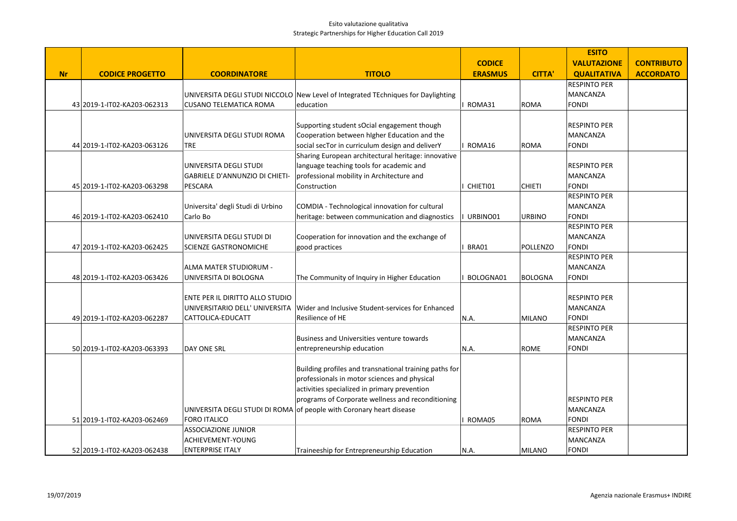|           |                              |                                       |                                                                                   |                |               | <b>ESITO</b>        |                   |
|-----------|------------------------------|---------------------------------------|-----------------------------------------------------------------------------------|----------------|---------------|---------------------|-------------------|
|           |                              |                                       |                                                                                   | <b>CODICE</b>  |               | <b>VALUTAZIONE</b>  | <b>CONTRIBUTO</b> |
| <b>Nr</b> | <b>CODICE PROGETTO</b>       | <b>COORDINATORE</b>                   | <b>TITOLO</b>                                                                     | <b>ERASMUS</b> | <b>CITTA'</b> | <b>QUALITATIVA</b>  | <b>ACCORDATO</b>  |
|           |                              |                                       |                                                                                   |                |               | <b>RESPINTO PER</b> |                   |
|           |                              |                                       | UNIVERSITA DEGLI STUDI NICCOLO New Level of Integrated TEchniques for Daylighting |                |               | <b>MANCANZA</b>     |                   |
|           | 43 2019-1-IT02-KA203-062313  | <b>CUSANO TELEMATICA ROMA</b>         | education                                                                         | ROMA31         | ROMA          | <b>FONDI</b>        |                   |
|           |                              |                                       |                                                                                   |                |               |                     |                   |
|           |                              |                                       | Supporting student sOcial engagement though                                       |                |               | <b>RESPINTO PER</b> |                   |
|           |                              | UNIVERSITA DEGLI STUDI ROMA           | Cooperation between higher Education and the                                      |                |               | <b>MANCANZA</b>     |                   |
|           | 44 2019-1-IT02-KA203-063126  | TRE                                   | social secTor in curriculum design and deliverY                                   | ROMA16         | ROMA          | <b>FONDI</b>        |                   |
|           |                              |                                       | Sharing European architectural heritage: innovative                               |                |               |                     |                   |
|           |                              | UNIVERSITA DEGLI STUDI                | language teaching tools for academic and                                          |                |               | <b>RESPINTO PER</b> |                   |
|           |                              | <b>GABRIELE D'ANNUNZIO DI CHIETI-</b> | professional mobility in Architecture and                                         |                |               | MANCANZA            |                   |
|           | 45 2019-1-IT02-KA203-063298  | PESCARA                               | Construction                                                                      | CHIETI01       | <b>CHIETI</b> | <b>FONDI</b>        |                   |
|           |                              |                                       |                                                                                   |                |               | <b>RESPINTO PER</b> |                   |
|           |                              | Universita' degli Studi di Urbino     | COMDIA - Technological innovation for cultural                                    |                |               | MANCANZA            |                   |
|           | 46 2019-1-IT02-KA203-062410  | Carlo Bo                              | heritage: between communication and diagnostics                                   | URBINO01       | <b>URBINO</b> | <b>FONDI</b>        |                   |
|           |                              |                                       |                                                                                   |                |               | <b>RESPINTO PER</b> |                   |
|           |                              | UNIVERSITA DEGLI STUDI DI             | Cooperation for innovation and the exchange of                                    |                |               | <b>MANCANZA</b>     |                   |
|           | 47 2019-1-IT02-KA203-062425  | SCIENZE GASTRONOMICHE                 | good practices                                                                    | BRA01          | POLLENZO      | <b>FONDI</b>        |                   |
|           |                              |                                       |                                                                                   |                |               | <b>RESPINTO PER</b> |                   |
|           |                              | ALMA MATER STUDIORUM -                |                                                                                   |                |               | MANCANZA            |                   |
|           | 48 2019-1-IT02-KA203-063426  | UNIVERSITA DI BOLOGNA                 | The Community of Inquiry in Higher Education                                      | BOLOGNA01      | BOLOGNA       | <b>FONDI</b>        |                   |
|           |                              |                                       |                                                                                   |                |               |                     |                   |
|           |                              | ENTE PER IL DIRITTO ALLO STUDIO       |                                                                                   |                |               | <b>RESPINTO PER</b> |                   |
|           |                              | UNIVERSITARIO DELL' UNIVERSITA        | Wider and Inclusive Student-services for Enhanced                                 |                |               | <b>MANCANZA</b>     |                   |
|           | 49 2019-1- IT02-KA203-062287 | CATTOLICA-EDUCATT                     | Resilience of HE                                                                  | N.A.           | MILANO        | <b>FONDI</b>        |                   |
|           |                              |                                       |                                                                                   |                |               | <b>RESPINTO PER</b> |                   |
|           |                              |                                       | Business and Universities venture towards                                         |                |               | <b>MANCANZA</b>     |                   |
|           | 50 2019-1- IT02-KA203-063393 | DAY ONE SRL                           | entrepreneurship education                                                        | N.A.           | ROME          | <b>FONDI</b>        |                   |
|           |                              |                                       |                                                                                   |                |               |                     |                   |
|           |                              |                                       | Building profiles and transnational training paths for                            |                |               |                     |                   |
|           |                              |                                       | professionals in motor sciences and physical                                      |                |               |                     |                   |
|           |                              |                                       | activities specialized in primary prevention                                      |                |               |                     |                   |
|           |                              |                                       | programs of Corporate wellness and reconditioning                                 |                |               | <b>RESPINTO PER</b> |                   |
|           |                              |                                       | UNIVERSITA DEGLI STUDI DI ROMA of people with Coronary heart disease              |                |               | MANCANZA            |                   |
|           | 51 2019-1-IT02-KA203-062469  | <b>FORO ITALICO</b>                   |                                                                                   | ROMA05         | <b>ROMA</b>   | <b>FONDI</b>        |                   |
|           |                              | <b>ASSOCIAZIONE JUNIOR</b>            |                                                                                   |                |               | <b>RESPINTO PER</b> |                   |
|           |                              | ACHIEVEMENT-YOUNG                     |                                                                                   |                |               | <b>MANCANZA</b>     |                   |
|           | 52 2019-1-IT02-KA203-062438  | <b>ENTERPRISE ITALY</b>               | Traineeship for Entrepreneurship Education                                        | N.A.           | MILANO        | <b>FONDI</b>        |                   |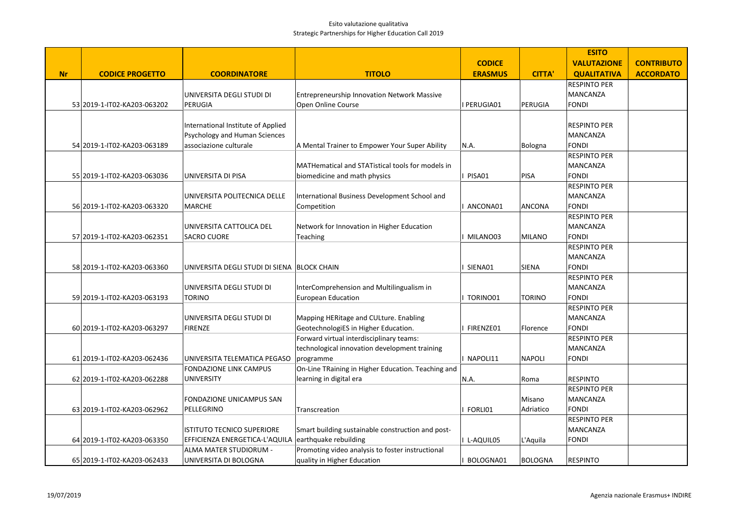|           |                             |                                             |                                                    |                |               | <b>ESITO</b>        |                   |
|-----------|-----------------------------|---------------------------------------------|----------------------------------------------------|----------------|---------------|---------------------|-------------------|
|           |                             |                                             |                                                    | <b>CODICE</b>  |               | <b>VALUTAZIONE</b>  | <b>CONTRIBUTO</b> |
| <b>Nr</b> | <b>CODICE PROGETTO</b>      | <b>COORDINATORE</b>                         | <b>TITOLO</b>                                      | <b>ERASMUS</b> | <b>CITTA'</b> | <b>QUALITATIVA</b>  | <b>ACCORDATO</b>  |
|           |                             |                                             |                                                    |                |               | <b>RESPINTO PER</b> |                   |
|           |                             | UNIVERSITA DEGLI STUDI DI                   | <b>Entrepreneurship Innovation Network Massive</b> |                |               | MANCANZA            |                   |
|           | 53 2019-1-IT02-KA203-063202 | PERUGIA                                     | Open Online Course                                 | I PERUGIA01    | PERUGIA       | <b>FONDI</b>        |                   |
|           |                             |                                             |                                                    |                |               |                     |                   |
|           |                             | International Institute of Applied          |                                                    |                |               | <b>RESPINTO PER</b> |                   |
|           |                             | Psychology and Human Sciences               |                                                    |                |               | <b>MANCANZA</b>     |                   |
|           | 54 2019-1-IT02-KA203-063189 | associazione culturale                      | A Mental Trainer to Empower Your Super Ability     | N.A.           | Bologna       | <b>FONDI</b>        |                   |
|           |                             |                                             |                                                    |                |               | <b>RESPINTO PER</b> |                   |
|           |                             |                                             | MATHematical and STATistical tools for models in   |                |               | <b>MANCANZA</b>     |                   |
|           | 55 2019-1-IT02-KA203-063036 | UNIVERSITA DI PISA                          | biomedicine and math physics                       | PISA01         | <b>PISA</b>   | <b>FONDI</b>        |                   |
|           |                             |                                             |                                                    |                |               | <b>RESPINTO PER</b> |                   |
|           |                             | UNIVERSITA POLITECNICA DELLE                | International Business Development School and      |                |               | MANCANZA            |                   |
|           | 56 2019-1-IT02-KA203-063320 | <b>MARCHE</b>                               | Competition                                        | ANCONA01       | ANCONA        | <b>FONDI</b>        |                   |
|           |                             |                                             |                                                    |                |               | <b>RESPINTO PER</b> |                   |
|           |                             | UNIVERSITA CATTOLICA DEL                    | Network for Innovation in Higher Education         |                |               | <b>MANCANZA</b>     |                   |
|           | 57 2019-1-IT02-KA203-062351 | <b>SACRO CUORE</b>                          | Teaching                                           | MILANO03       | MILANO        | <b>FONDI</b>        |                   |
|           |                             |                                             |                                                    |                |               | RESPINTO PER        |                   |
|           |                             |                                             |                                                    |                |               | <b>MANCANZA</b>     |                   |
|           | 58 2019-1-IT02-KA203-063360 | UNIVERSITA DEGLI STUDI DI SIENA BLOCK CHAIN |                                                    | SIENA01        | SIENA         | <b>FONDI</b>        |                   |
|           |                             |                                             |                                                    |                |               | <b>RESPINTO PER</b> |                   |
|           |                             | UNIVERSITA DEGLI STUDI DI                   | InterComprehension and Multilingualism in          |                |               | MANCANZA            |                   |
|           | 59 2019-1-IT02-KA203-063193 | TORINO                                      | <b>European Education</b>                          | TORINO01       | <b>TORINO</b> | <b>FONDI</b>        |                   |
|           |                             |                                             |                                                    |                |               | <b>RESPINTO PER</b> |                   |
|           |                             | UNIVERSITA DEGLI STUDI DI                   | Mapping HERitage and CULture. Enabling             |                |               | <b>MANCANZA</b>     |                   |
|           | 60 2019-1-IT02-KA203-063297 | <b>FIRENZE</b>                              | GeotechnologiES in Higher Education.               | FIRENZE01      | Florence      | <b>FONDI</b>        |                   |
|           |                             |                                             | Forward virtual interdisciplinary teams:           |                |               | <b>RESPINTO PER</b> |                   |
|           |                             |                                             | technological innovation development training      |                |               | <b>MANCANZA</b>     |                   |
|           | 61 2019-1-IT02-KA203-062436 | UNIVERSITA TELEMATICA PEGASO                | programme                                          | I NAPOLI11     | <b>NAPOLI</b> | <b>FONDI</b>        |                   |
|           |                             | <b>FONDAZIONE LINK CAMPUS</b>               | On-Line TRaining in Higher Education. Teaching and |                |               |                     |                   |
|           | 62 2019-1-IT02-KA203-062288 | <b>UNIVERSITY</b>                           | learning in digital era                            | N.A.           | Roma          | <b>RESPINTO</b>     |                   |
|           |                             |                                             |                                                    |                |               | <b>RESPINTO PER</b> |                   |
|           |                             | FONDAZIONE UNICAMPUS SAN                    |                                                    |                | Misano        | <b>MANCANZA</b>     |                   |
|           | 63 2019-1-IT02-KA203-062962 | PELLEGRINO                                  | Transcreation                                      | FORLI01        | Adriatico     | <b>FONDI</b>        |                   |
|           |                             |                                             |                                                    |                |               | <b>RESPINTO PER</b> |                   |
|           |                             | <b>ISTITUTO TECNICO SUPERIORE</b>           | Smart building sustainable construction and post-  |                |               | <b>MANCANZA</b>     |                   |
|           | 64 2019-1-IT02-KA203-063350 | EFFICIENZA ENERGETICA-L'AQUILA              | earthquake rebuilding                              | I L-AQUIL05    | L'Aquila      | <b>FONDI</b>        |                   |
|           |                             | ALMA MATER STUDIORUM -                      | Promoting video analysis to foster instructional   |                |               |                     |                   |
|           | 65 2019-1-IT02-KA203-062433 | UNIVERSITA DI BOLOGNA                       | quality in Higher Education                        | BOLOGNA01      | BOLOGNA       | <b>RESPINTO</b>     |                   |